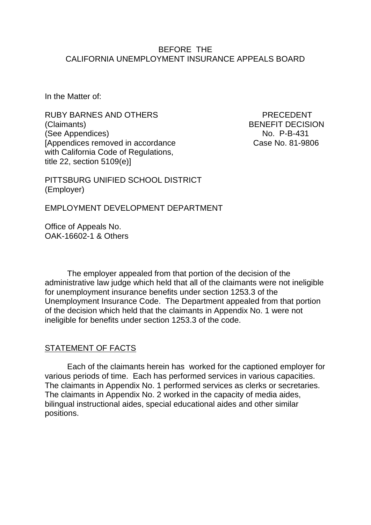#### BEFORE THE CALIFORNIA UNEMPLOYMENT INSURANCE APPEALS BOARD

In the Matter of:

RUBY BARNES AND OTHERS **EXAMPLE AND A RECOMMENT** (Claimants) BENEFIT DECISION (See Appendices) No. P-B-431 [Appendices removed in accordance Case No. 81-9806 with California Code of Regulations, title 22, section 5109(e)]

PITTSBURG UNIFIED SCHOOL DISTRICT (Employer)

EMPLOYMENT DEVELOPMENT DEPARTMENT

Office of Appeals No. OAK-16602-1 & Others

The employer appealed from that portion of the decision of the administrative law judge which held that all of the claimants were not ineligible for unemployment insurance benefits under section 1253.3 of the Unemployment Insurance Code. The Department appealed from that portion of the decision which held that the claimants in Appendix No. 1 were not ineligible for benefits under section 1253.3 of the code.

#### STATEMENT OF FACTS

Each of the claimants herein has worked for the captioned employer for various periods of time. Each has performed services in various capacities. The claimants in Appendix No. 1 performed services as clerks or secretaries. The claimants in Appendix No. 2 worked in the capacity of media aides, bilingual instructional aides, special educational aides and other similar positions.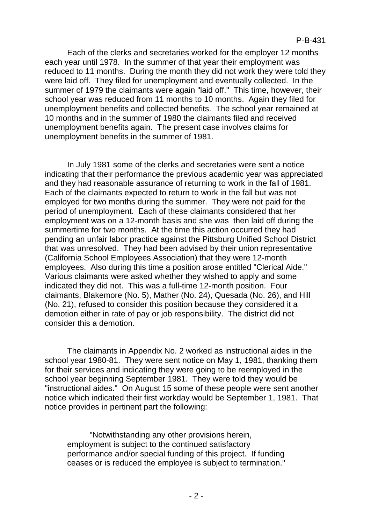Each of the clerks and secretaries worked for the employer 12 months each year until 1978. In the summer of that year their employment was reduced to 11 months. During the month they did not work they were told they were laid off. They filed for unemployment and eventually collected. In the summer of 1979 the claimants were again "laid off." This time, however, their school year was reduced from 11 months to 10 months. Again they filed for unemployment benefits and collected benefits. The school year remained at 10 months and in the summer of 1980 the claimants filed and received unemployment benefits again. The present case involves claims for unemployment benefits in the summer of 1981.

In July 1981 some of the clerks and secretaries were sent a notice indicating that their performance the previous academic year was appreciated and they had reasonable assurance of returning to work in the fall of 1981. Each of the claimants expected to return to work in the fall but was not employed for two months during the summer. They were not paid for the period of unemployment. Each of these claimants considered that her employment was on a 12-month basis and she was then laid off during the summertime for two months. At the time this action occurred they had pending an unfair labor practice against the Pittsburg Unified School District that was unresolved. They had been advised by their union representative (California School Employees Association) that they were 12-month employees. Also during this time a position arose entitled "Clerical Aide." Various claimants were asked whether they wished to apply and some indicated they did not. This was a full-time 12-month position. Four claimants, Blakemore (No. 5), Mather (No. 24), Quesada (No. 26), and Hill (No. 21), refused to consider this position because they considered it a demotion either in rate of pay or job responsibility. The district did not consider this a demotion.

The claimants in Appendix No. 2 worked as instructional aides in the school year 1980-81. They were sent notice on May 1, 1981, thanking them for their services and indicating they were going to be reemployed in the school year beginning September 1981. They were told they would be "instructional aides." On August 15 some of these people were sent another notice which indicated their first workday would be September 1, 1981. That notice provides in pertinent part the following:

"Notwithstanding any other provisions herein, employment is subject to the continued satisfactory performance and/or special funding of this project. If funding ceases or is reduced the employee is subject to termination."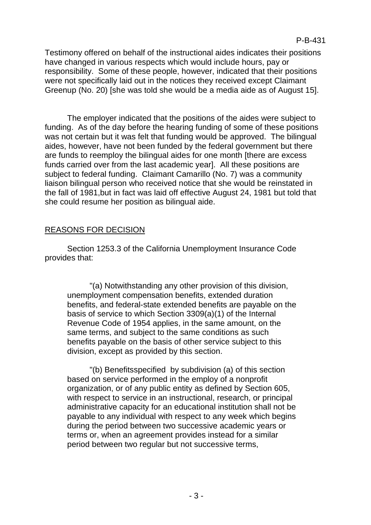Testimony offered on behalf of the instructional aides indicates their positions have changed in various respects which would include hours, pay or responsibility. Some of these people, however, indicated that their positions were not specifically laid out in the notices they received except Claimant Greenup (No. 20) [she was told she would be a media aide as of August 15].

The employer indicated that the positions of the aides were subject to funding. As of the day before the hearing funding of some of these positions was not certain but it was felt that funding would be approved. The bilingual aides, however, have not been funded by the federal government but there are funds to reemploy the bilingual aides for one month [there are excess funds carried over from the last academic year]. All these positions are subject to federal funding. Claimant Camarillo (No. 7) was a community liaison bilingual person who received notice that she would be reinstated in the fall of 1981,but in fact was laid off effective August 24, 1981 but told that she could resume her position as bilingual aide.

## REASONS FOR DECISION

Section 1253.3 of the California Unemployment Insurance Code provides that:

"(a) Notwithstanding any other provision of this division, unemployment compensation benefits, extended duration benefits, and federal-state extended benefits are payable on the basis of service to which Section 3309(a)(1) of the Internal Revenue Code of 1954 applies, in the same amount, on the same terms, and subject to the same conditions as such benefits payable on the basis of other service subject to this division, except as provided by this section.

"(b) Benefitsspecified by subdivision (a) of this section based on service performed in the employ of a nonprofit organization, or of any public entity as defined by Section 605, with respect to service in an instructional, research, or principal administrative capacity for an educational institution shall not be payable to any individual with respect to any week which begins during the period between two successive academic years or terms or, when an agreement provides instead for a similar period between two regular but not successive terms,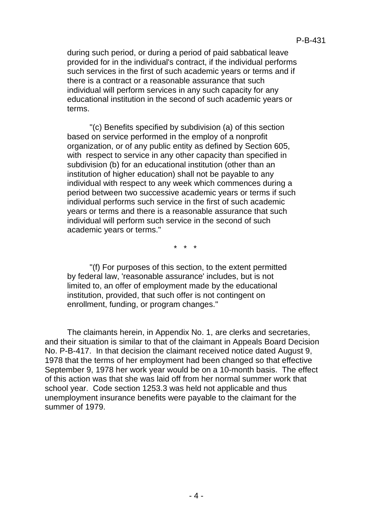during such period, or during a period of paid sabbatical leave provided for in the individual's contract, if the individual performs such services in the first of such academic years or terms and if there is a contract or a reasonable assurance that such individual will perform services in any such capacity for any educational institution in the second of such academic years or terms.

"(c) Benefits specified by subdivision (a) of this section based on service performed in the employ of a nonprofit organization, or of any public entity as defined by Section 605, with respect to service in any other capacity than specified in subdivision (b) for an educational institution (other than an institution of higher education) shall not be payable to any individual with respect to any week which commences during a period between two successive academic years or terms if such individual performs such service in the first of such academic years or terms and there is a reasonable assurance that such individual will perform such service in the second of such academic years or terms."

\* \* \*

"(f) For purposes of this section, to the extent permitted by federal law, 'reasonable assurance' includes, but is not limited to, an offer of employment made by the educational institution, provided, that such offer is not contingent on enrollment, funding, or program changes."

The claimants herein, in Appendix No. 1, are clerks and secretaries, and their situation is similar to that of the claimant in Appeals Board Decision No. P-B-417. In that decision the claimant received notice dated August 9, 1978 that the terms of her employment had been changed so that effective September 9, 1978 her work year would be on a 10-month basis. The effect of this action was that she was laid off from her normal summer work that school year. Code section 1253.3 was held not applicable and thus unemployment insurance benefits were payable to the claimant for the summer of 1979.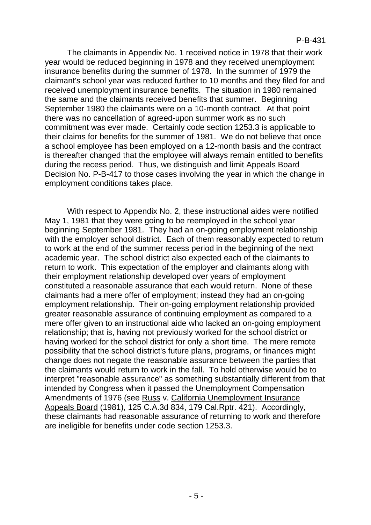The claimants in Appendix No. 1 received notice in 1978 that their work year would be reduced beginning in 1978 and they received unemployment insurance benefits during the summer of 1978. In the summer of 1979 the claimant's school year was reduced further to 10 months and they filed for and received unemployment insurance benefits. The situation in 1980 remained the same and the claimants received benefits that summer. Beginning September 1980 the claimants were on a 10-month contract. At that point there was no cancellation of agreed-upon summer work as no such commitment was ever made. Certainly code section 1253.3 is applicable to their claims for benefits for the summer of 1981. We do not believe that once a school employee has been employed on a 12-month basis and the contract is thereafter changed that the employee will always remain entitled to benefits during the recess period. Thus, we distinguish and limit Appeals Board Decision No. P-B-417 to those cases involving the year in which the change in employment conditions takes place.

With respect to Appendix No. 2, these instructional aides were notified May 1, 1981 that they were going to be reemployed in the school year beginning September 1981. They had an on-going employment relationship with the employer school district. Each of them reasonably expected to return to work at the end of the summer recess period in the beginning of the next academic year. The school district also expected each of the claimants to return to work. This expectation of the employer and claimants along with their employment relationship developed over years of employment constituted a reasonable assurance that each would return. None of these claimants had a mere offer of employment; instead they had an on-going employment relationship. Their on-going employment relationship provided greater reasonable assurance of continuing employment as compared to a mere offer given to an instructional aide who lacked an on-going employment relationship; that is, having not previously worked for the school district or having worked for the school district for only a short time. The mere remote possibility that the school district's future plans, programs, or finances might change does not negate the reasonable assurance between the parties that the claimants would return to work in the fall. To hold otherwise would be to interpret "reasonable assurance" as something substantially different from that intended by Congress when it passed the Unemployment Compensation Amendments of 1976 (see Russ v. California Unemployment Insurance Appeals Board (1981), 125 C.A.3d 834, 179 Cal.Rptr. 421). Accordingly, these claimants had reasonable assurance of returning to work and therefore are ineligible for benefits under code section 1253.3.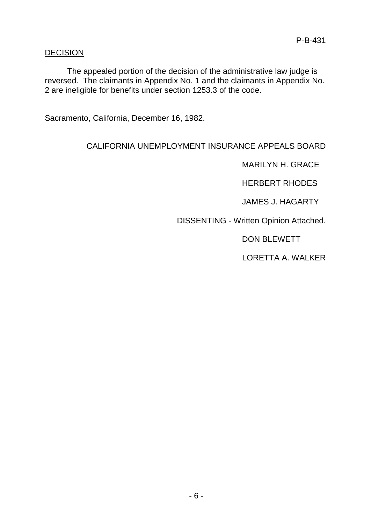#### DECISION

The appealed portion of the decision of the administrative law judge is reversed. The claimants in Appendix No. 1 and the claimants in Appendix No. 2 are ineligible for benefits under section 1253.3 of the code.

Sacramento, California, December 16, 1982.

# CALIFORNIA UNEMPLOYMENT INSURANCE APPEALS BOARD

MARILYN H. GRACE

HERBERT RHODES

JAMES J. HAGARTY

DISSENTING - Written Opinion Attached.

DON BLEWETT

LORETTA A. WALKER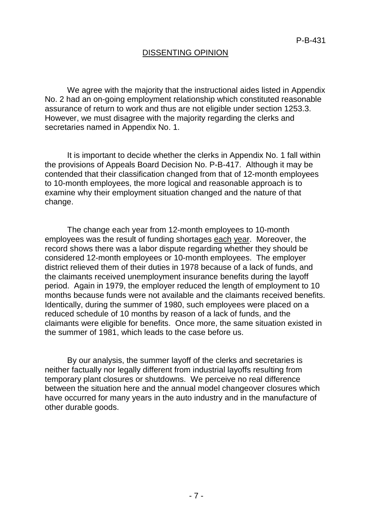### DISSENTING OPINION

We agree with the majority that the instructional aides listed in Appendix No. 2 had an on-going employment relationship which constituted reasonable assurance of return to work and thus are not eligible under section 1253.3. However, we must disagree with the majority regarding the clerks and secretaries named in Appendix No. 1.

It is important to decide whether the clerks in Appendix No. 1 fall within the provisions of Appeals Board Decision No. P-B-417. Although it may be contended that their classification changed from that of 12-month employees to 10-month employees, the more logical and reasonable approach is to examine why their employment situation changed and the nature of that change.

The change each year from 12-month employees to 10-month employees was the result of funding shortages each year. Moreover, the record shows there was a labor dispute regarding whether they should be considered 12-month employees or 10-month employees. The employer district relieved them of their duties in 1978 because of a lack of funds, and the claimants received unemployment insurance benefits during the layoff period. Again in 1979, the employer reduced the length of employment to 10 months because funds were not available and the claimants received benefits. Identically, during the summer of 1980, such employees were placed on a reduced schedule of 10 months by reason of a lack of funds, and the claimants were eligible for benefits. Once more, the same situation existed in the summer of 1981, which leads to the case before us.

By our analysis, the summer layoff of the clerks and secretaries is neither factually nor legally different from industrial layoffs resulting from temporary plant closures or shutdowns. We perceive no real difference between the situation here and the annual model changeover closures which have occurred for many years in the auto industry and in the manufacture of other durable goods.